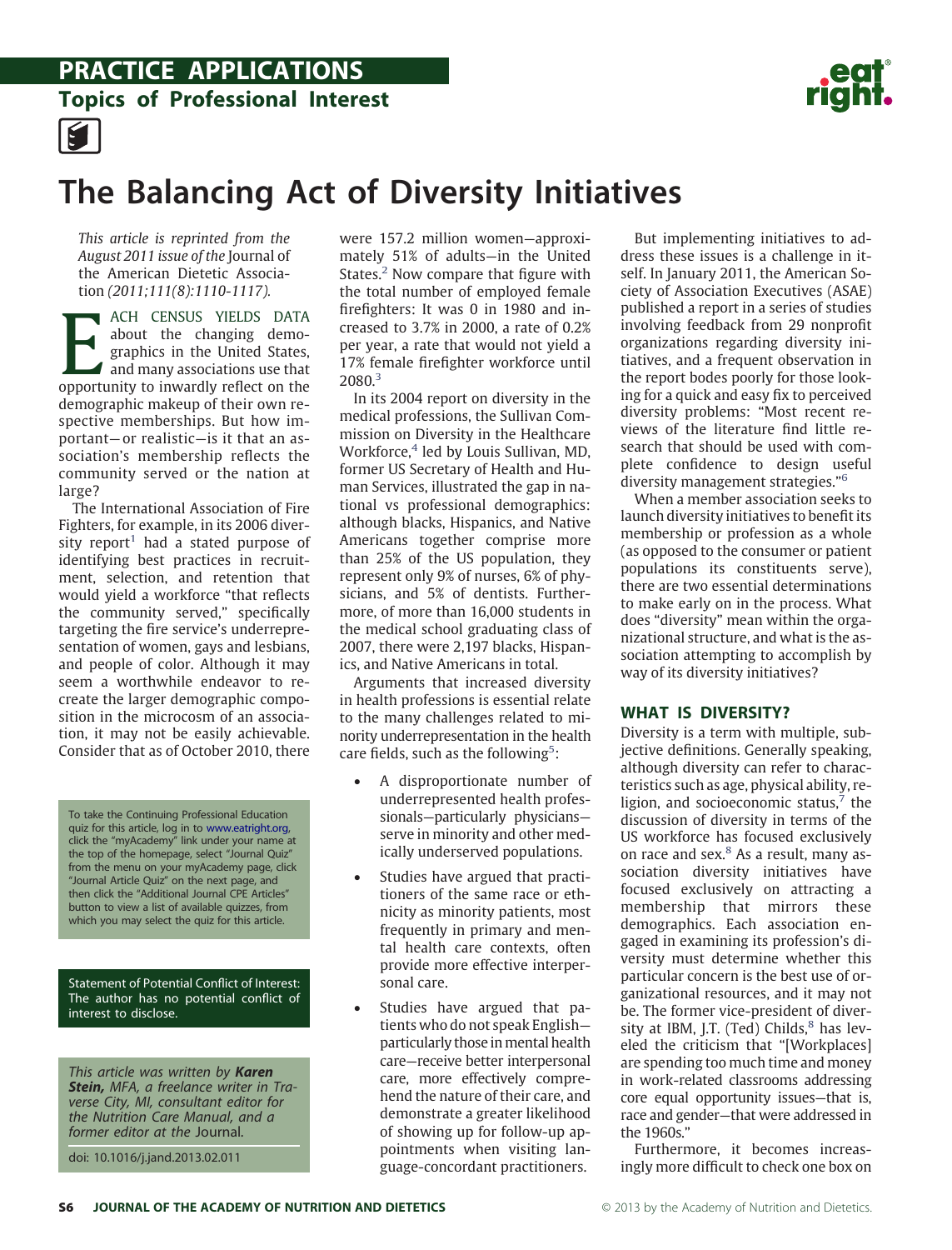### **PRACTICE APPLICATIONS**

**Topics of Professional Interest**



# **The Balancing Act of Diversity Initiatives**

*This article is reprinted from the August 2011 issue of the* Journal of the American Dietetic Association *(2011;111(8):1110-1117).*

**EXACH CENSUS YIELDS DATA**<br>about the changing demographics in the United States,<br>and many associations use that<br>opportunity to inwardly reflect on the ACH CENSUS YIELDS DATA about the changing demographics in the United States, **and many associations use that** demographic makeup of their own respective memberships. But how important— or realistic—is it that an association's membership reflects the community served or the nation at large?

The International Association of Fire Fighters, for example, in its 2006 diversity report<sup>1</sup> had a stated purpose of identifying best practices in recruitment, selection, and retention that would yield a workforce "that reflects the community served," specifically targeting the fire service's underrepresentation of women, gays and lesbians, and people of color. Although it may seem a worthwhile endeavor to recreate the larger demographic composition in the microcosm of an association, it may not be easily achievable. Consider that as of October 2010, there

To take the Continuing Professional Education quiz for this article, log in to [www.eatright.org,](http://www.eatright.org) click the "myAcademy" link under your name at the top of the homepage, select "Journal Quiz" from the menu on your myAcademy page, click "Journal Article Quiz" on the next page, and then click the "Additional Journal CPE Articles" button to view a list of available quizzes, from which you may select the quiz for this article.

Statement of Potential Conflict of Interest: The author has no potential conflict of interest to disclose.

This article was written by *Karen Stein,* MFA, a freelance writer in Traverse City, MI, consultant editor for the Nutrition Care Manual, and a former editor at the Journal.

doi: 10.1016/j.jand.2013.02.011

were 157.2 million women—approximately 51% of adults—in the United States.<sup>2</sup> Now compare that figure with the total number of employed female firefighters: It was 0 in 1980 and increased to 3.7% in 2000, a rate of 0.2% per year, a rate that would not yield a 17% female firefighter workforce until 2080.3

In its 2004 report on diversity in the medical professions, the Sullivan Commission on Diversity in the Healthcare Workforce,<sup>4</sup> led by Louis Sullivan, MD, former US Secretary of Health and Human Services, illustrated the gap in national vs professional demographics: although blacks, Hispanics, and Native Americans together comprise more than 25% of the US population, they represent only 9% of nurses, 6% of physicians, and 5% of dentists. Furthermore, of more than 16,000 students in the medical school graduating class of 2007, there were 2,197 blacks, Hispanics, and Native Americans in total.

Arguments that increased diversity in health professions is essential relate to the many challenges related to minority underrepresentation in the health care fields, such as the following<sup>5</sup>:

- A disproportionate number of underrepresented health professionals—particularly physicians serve in minority and other medically underserved populations.
- Studies have argued that practitioners of the same race or ethnicity as minority patients, most frequently in primary and mental health care contexts, often provide more effective interpersonal care.
- Studies have argued that patients who do not speak English particularly those in mental health care—receive better interpersonal care, more effectively comprehend the nature of their care, and demonstrate a greater likelihood of showing up for follow-up appointments when visiting language-concordant practitioners.

But implementing initiatives to address these issues is a challenge in itself. In January 2011, the American Society of Association Executives (ASAE) published a report in a series of studies involving feedback from 29 nonprofit organizations regarding diversity initiatives, and a frequent observation in the report bodes poorly for those looking for a quick and easy fix to perceived diversity problems: "Most recent reviews of the literature find little research that should be used with complete confidence to design useful diversity management strategies."6

When a member association seeks to launch diversity initiatives to benefit its membership or profession as a whole (as opposed to the consumer or patient populations its constituents serve), there are two essential determinations to make early on in the process. What does "diversity" mean within the organizational structure, and what is the association attempting to accomplish by way of its diversity initiatives?

#### **WHAT IS DIVERSITY?**

Diversity is a term with multiple, subjective definitions. Generally speaking, although diversity can refer to characteristics such as age, physical ability, religion, and socioeconomic status, $<sup>7</sup>$  the</sup> discussion of diversity in terms of the US workforce has focused exclusively on race and sex.<sup>8</sup> As a result, many association diversity initiatives have focused exclusively on attracting a membership that mirrors these demographics. Each association engaged in examining its profession's diversity must determine whether this particular concern is the best use of organizational resources, and it may not be. The former vice-president of diversity at IBM, J.T. (Ted) Childs, $8$  has leveled the criticism that "[Workplaces] are spending too much time and money in work-related classrooms addressing core equal opportunity issues—that is, race and gender—that were addressed in the 1960s."

Furthermore, it becomes increasingly more difficult to check one box on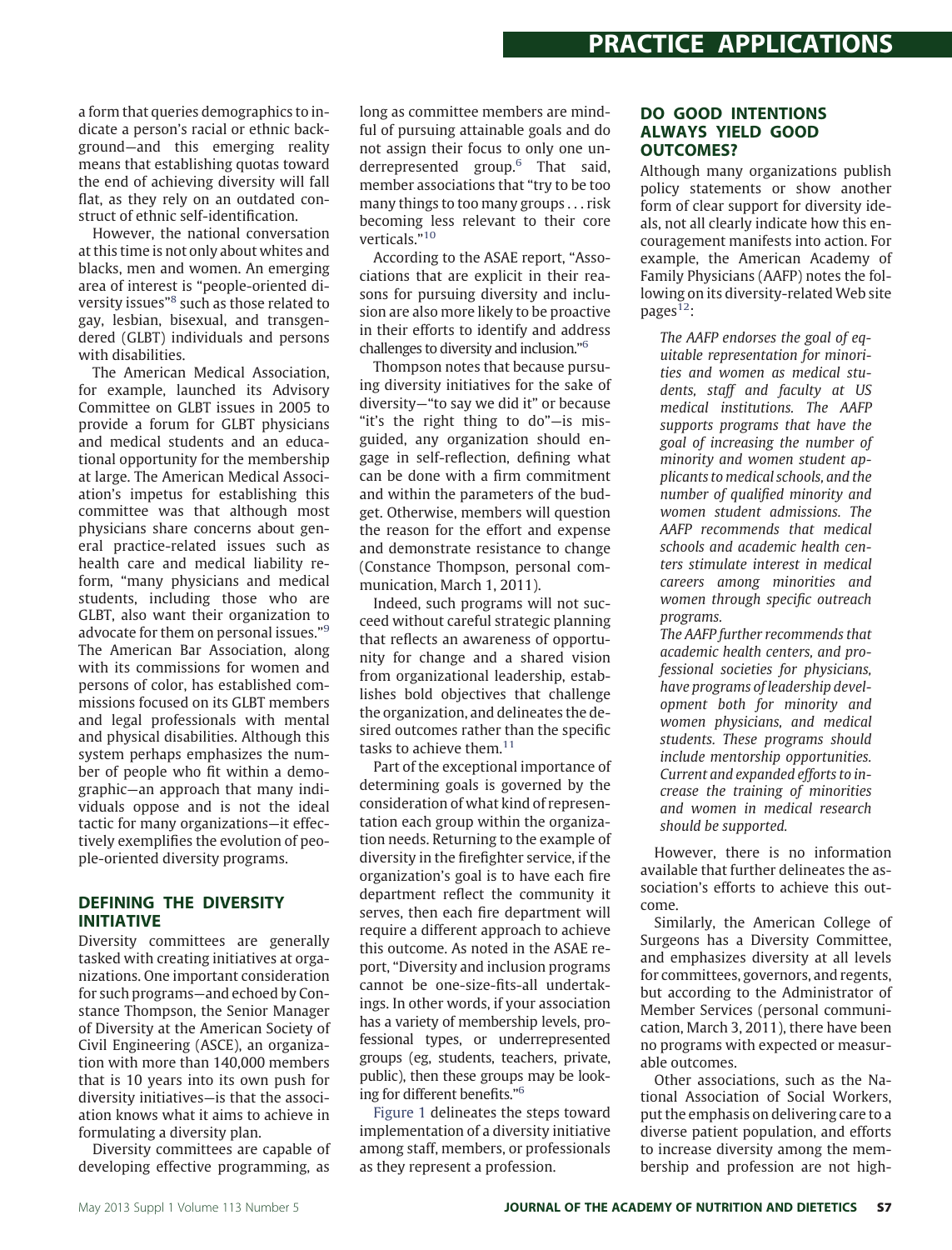a form that queries demographics to indicate a person's racial or ethnic background—and this emerging reality means that establishing quotas toward the end of achieving diversity will fall flat, as they rely on an outdated construct of ethnic self-identification.

However, the national conversation at this time is not only about whites and blacks, men and women. An emerging area of interest is "people-oriented diversity issues"<sup>8</sup> such as those related to gay, lesbian, bisexual, and transgendered (GLBT) individuals and persons with disabilities.

The American Medical Association, for example, launched its Advisory Committee on GLBT issues in 2005 to provide a forum for GLBT physicians and medical students and an educational opportunity for the membership at large. The American Medical Association's impetus for establishing this committee was that although most physicians share concerns about general practice-related issues such as health care and medical liability reform, "many physicians and medical students, including those who are GLBT, also want their organization to advocate for them on personal issues."<sup>9</sup> The American Bar Association, along with its commissions for women and persons of color, has established commissions focused on its GLBT members and legal professionals with mental and physical disabilities. Although this system perhaps emphasizes the number of people who fit within a demographic—an approach that many individuals oppose and is not the ideal tactic for many organizations—it effectively exemplifies the evolution of people-oriented diversity programs.

#### **DEFINING THE DIVERSITY INITIATIVE**

Diversity committees are generally tasked with creating initiatives at organizations. One important consideration for such programs—and echoed by Constance Thompson, the Senior Manager of Diversity at the American Society of Civil Engineering (ASCE), an organization with more than 140,000 members that is 10 years into its own push for diversity initiatives—is that the association knows what it aims to achieve in formulating a diversity plan.

Diversity committees are capable of developing effective programming, as long as committee members are mindful of pursuing attainable goals and do not assign their focus to only one underrepresented group.6 That said, member associations that "try to be too many things to too many groups . . . risk becoming less relevant to their core verticals."10

According to the ASAE report, "Associations that are explicit in their reasons for pursuing diversity and inclusion are also more likely to be proactive in their efforts to identify and address challenges to diversity and inclusion."6

Thompson notes that because pursuing diversity initiatives for the sake of diversity—"to say we did it" or because "it's the right thing to do"—is misguided, any organization should engage in self-reflection, defining what can be done with a firm commitment and within the parameters of the budget. Otherwise, members will question the reason for the effort and expense and demonstrate resistance to change (Constance Thompson, personal communication, March 1, 2011).

Indeed, such programs will not succeed without careful strategic planning that reflects an awareness of opportunity for change and a shared vision from organizational leadership, establishes bold objectives that challenge the organization, and delineates the desired outcomes rather than the specific tasks to achieve them. $11$ 

Part of the exceptional importance of determining goals is governed by the consideration of what kind of representation each group within the organization needs. Returning to the example of diversity in the firefighter service, if the organization's goal is to have each fire department reflect the community it serves, then each fire department will require a different approach to achieve this outcome. As noted in the ASAE report, "Diversity and inclusion programs cannot be one-size-fits-all undertakings. In other words, if your association has a variety of membership levels, professional types, or underrepresented groups (eg, students, teachers, private, public), then these groups may be looking for different benefits."6

Figure 1 delineates the steps toward implementation of a diversity initiative among staff, members, or professionals as they represent a profession.

#### **DO GOOD INTENTIONS ALWAYS YIELD GOOD OUTCOMES?**

Although many organizations publish policy statements or show another form of clear support for diversity ideals, not all clearly indicate how this encouragement manifests into action. For example, the American Academy of Family Physicians (AAFP) notes the following on its diversity-related Web site pages $^{12}$ :

*The AAFP endorses the goal of equitable representation for minorities and women as medical students, staff and faculty at US medical institutions. The AAFP supports programs that have the goal of increasing the number of minority and women student applicants to medical schools, and the number of qualified minority and women student admissions. The AAFP recommends that medical schools and academic health centers stimulate interest in medical careers among minorities and women through specific outreach programs.*

*The AAFP further recommends that academic health centers, and professional societies for physicians, have programs of leadership development both for minority and women physicians, and medical students. These programs should include mentorship opportunities. Current and expanded efforts to increase the training of minorities and women in medical research should be supported.*

However, there is no information available that further delineates the association's efforts to achieve this outcome.

Similarly, the American College of Surgeons has a Diversity Committee, and emphasizes diversity at all levels for committees, governors, and regents, but according to the Administrator of Member Services (personal communication, March 3, 2011), there have been no programs with expected or measurable outcomes.

Other associations, such as the National Association of Social Workers, put the emphasis on delivering care to a diverse patient population, and efforts to increase diversity among the membership and profession are not high-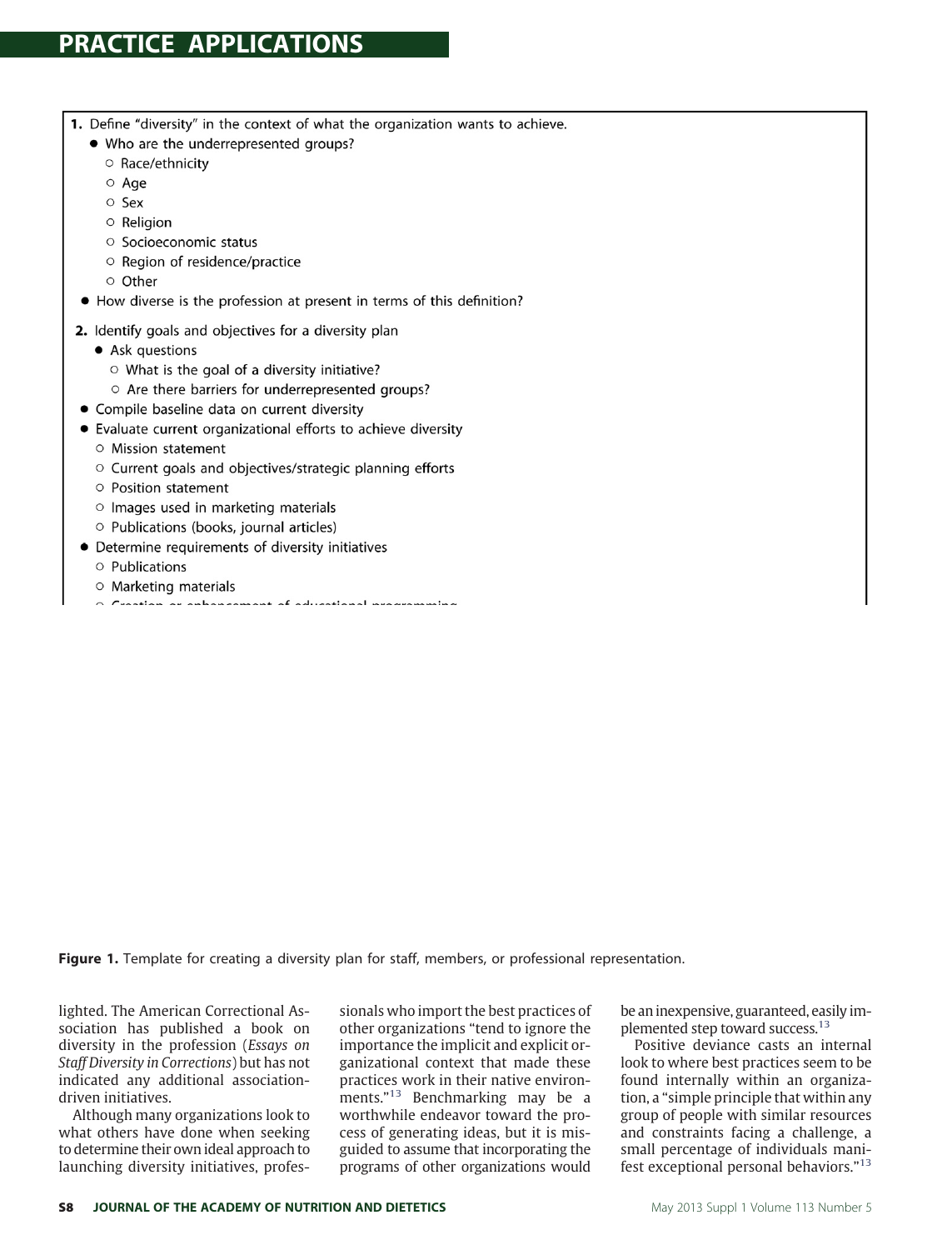**Figure 1.** Template for creating a diversity plan for staff, members, or professional representation.

lighted. The American Correctional Association has published a book on diversity in the profession (*Essays on Staff Diversity in Corrections*) but has not indicated any additional associationdriven initiatives.

Although many organizations look to what others have done when seeking to determine their own ideal approach to launching diversity initiatives, professionals who import the best practices of other organizations "tend to ignore the importance the implicit and explicit organizational context that made these practices work in their native environments."<sup>13</sup> Benchmarking may be a worthwhile endeavor toward the process of generating ideas, but it is misguided to assume that incorporating the programs of other organizations would

be an inexpensive, guaranteed, easily implemented step toward success.<sup>13</sup>

Positive deviance casts an internal look to where best practices seem to be found internally within an organization, a "simple principle that within any group of people with similar resources and constraints facing a challenge, a small percentage of individuals manifest exceptional personal behaviors."<sup>13</sup>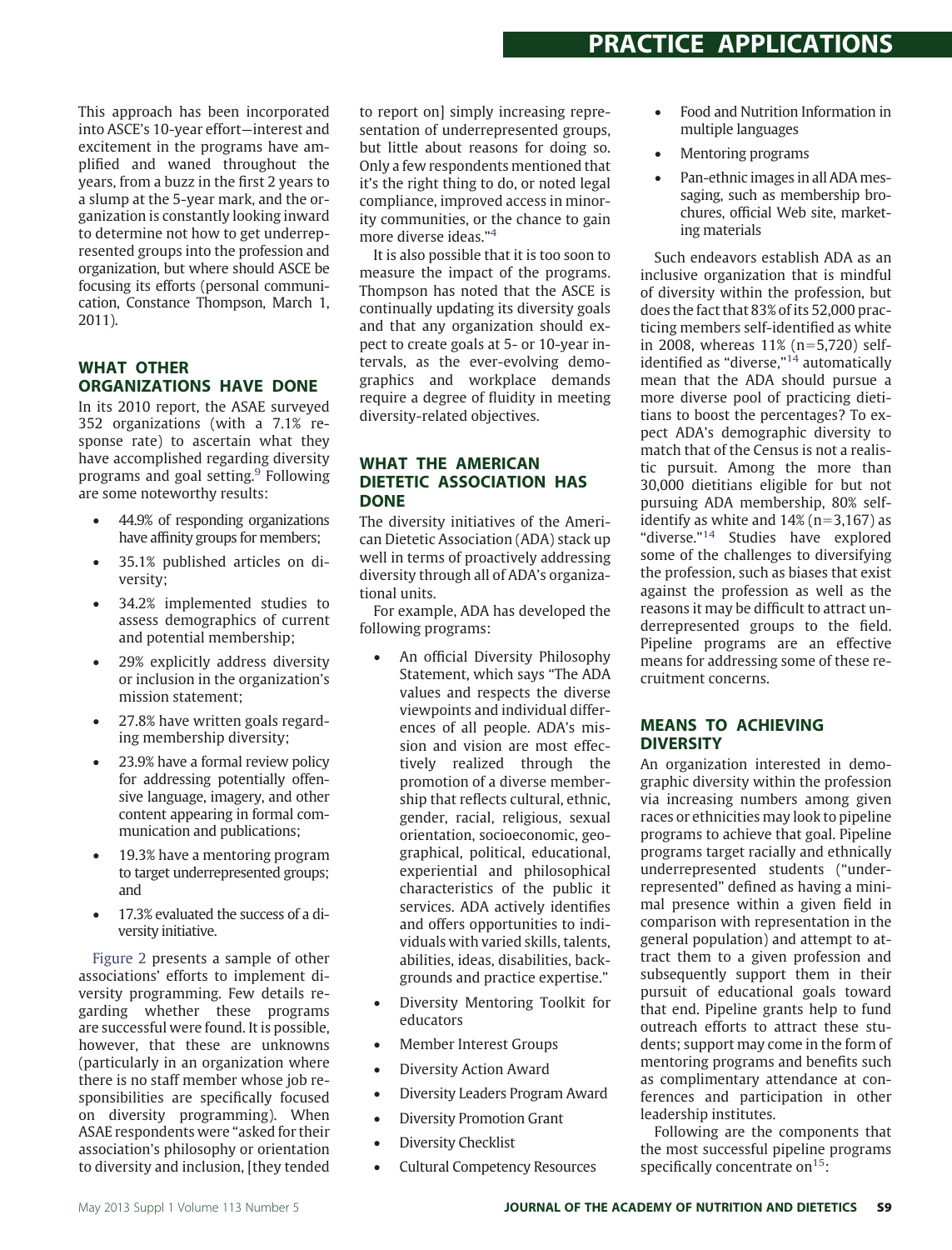This approach has been incorporated into ASCE's 10-year effort—interest and excitement in the programs have amplified and waned throughout the years, from a buzz in the first 2 years to a slump at the 5-year mark, and the organization is constantly looking inward to determine not how to get underrepresented groups into the profession and organization, but where should ASCE be focusing its efforts (personal communication, Constance Thompson, March 1, 2011).

#### **WHAT OTHER ORGANIZATIONS HAVE DONE**

In its 2010 report, the ASAE surveyed 352 organizations (with a 7.1% response rate) to ascertain what they have accomplished regarding diversity programs and goal setting.<sup>9</sup> Following are some noteworthy results:

- 44.9% of responding organizations have affinity groups for members;
- 35.1% published articles on diversity;
- 34.2% implemented studies to assess demographics of current and potential membership;
- 29% explicitly address diversity or inclusion in the organization's mission statement;
- 27.8% have written goals regarding membership diversity;
- 23.9% have a formal review policy for addressing potentially offensive language, imagery, and other content appearing in formal communication and publications;
- 19.3% have a mentoring program to target underrepresented groups; and
- 17.3% evaluated the success of a diversity initiative.

Figure 2 presents a sample of other associations' efforts to implement diversity programming. Few details regarding whether these programs are successful were found. It is possible, however, that these are unknowns (particularly in an organization where there is no staff member whose job responsibilities are specifically focused on diversity programming). When ASAE respondents were "asked for their association's philosophy or orientation to diversity and inclusion, [they tended

to report on] simply increasing representation of underrepresented groups, but little about reasons for doing so. Only a few respondents mentioned that it's the right thing to do, or noted legal compliance, improved access in minority communities, or the chance to gain more diverse ideas."4

It is also possible that it is too soon to measure the impact of the programs. Thompson has noted that the ASCE is continually updating its diversity goals and that any organization should expect to create goals at 5- or 10-year intervals, as the ever-evolving demographics and workplace demands require a degree of fluidity in meeting diversity-related objectives.

#### **WHAT THE AMERICAN DIETETIC ASSOCIATION HAS DONE**

The diversity initiatives of the American Dietetic Association (ADA) stack up well in terms of proactively addressing diversity through all of ADA's organizational units.

For example, ADA has developed the following programs:

- An official Diversity Philosophy Statement, which says "The ADA values and respects the diverse viewpoints and individual differences of all people. ADA's mission and vision are most effectively realized through the promotion of a diverse membership that reflects cultural, ethnic, gender, racial, religious, sexual orientation, socioeconomic, geographical, political, educational, experiential and philosophical characteristics of the public it services. ADA actively identifies and offers opportunities to individuals with varied skills, talents, abilities, ideas, disabilities, backgrounds and practice expertise."
- Diversity Mentoring Toolkit for educators
- Member Interest Groups
- Diversity Action Award
- Diversity Leaders Program Award
- Diversity Promotion Grant
- Diversity Checklist
- Cultural Competency Resources
- Food and Nutrition Information in multiple languages
- Mentoring programs
- Pan-ethnic images in all ADA messaging, such as membership brochures, official Web site, marketing materials

Such endeavors establish ADA as an inclusive organization that is mindful of diversity within the profession, but does the fact that 83% of its 52,000 practicing members self-identified as white in 2008, whereas  $11\%$  (n=5,720) selfidentified as "diverse,"<sup>14</sup> automatically mean that the ADA should pursue a more diverse pool of practicing dietitians to boost the percentages? To expect ADA's demographic diversity to match that of the Census is not a realistic pursuit. Among the more than 30,000 dietitians eligible for but not pursuing ADA membership, 80% selfidentify as white and  $14\%$  (n=3,167) as "diverse."<sup>14</sup> Studies have explored some of the challenges to diversifying the profession, such as biases that exist against the profession as well as the reasons it may be difficult to attract underrepresented groups to the field. Pipeline programs are an effective means for addressing some of these recruitment concerns.

#### **MEANS TO ACHIEVING DIVERSITY**

An organization interested in demographic diversity within the profession via increasing numbers among given races or ethnicities may look to pipeline programs to achieve that goal. Pipeline programs target racially and ethnically underrepresented students ("underrepresented" defined as having a minimal presence within a given field in comparison with representation in the general population) and attempt to attract them to a given profession and subsequently support them in their pursuit of educational goals toward that end. Pipeline grants help to fund outreach efforts to attract these students; support may come in the form of mentoring programs and benefits such as complimentary attendance at conferences and participation in other leadership institutes.

Following are the components that the most successful pipeline programs specifically concentrate on<sup>15</sup>: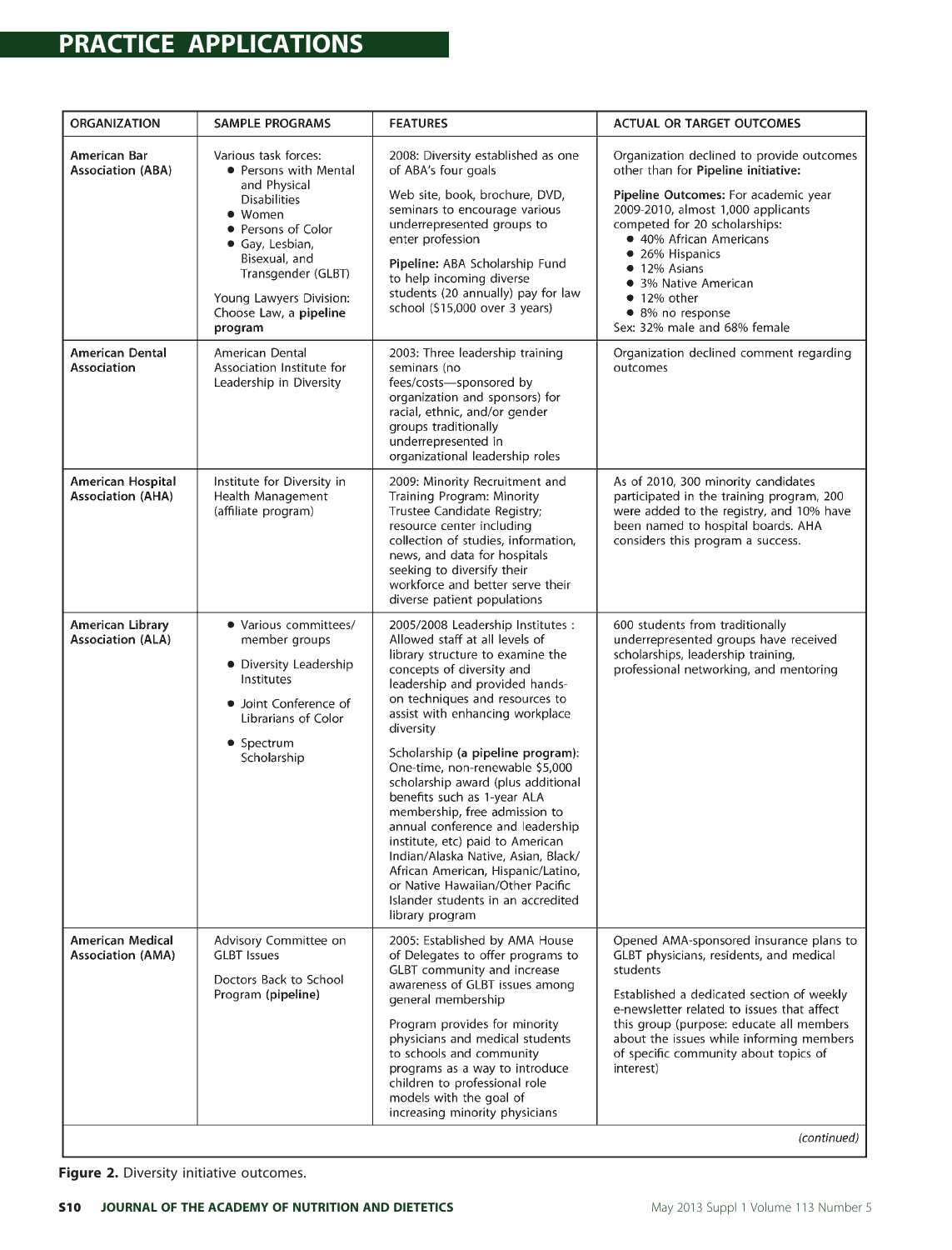# **PRACTICE APPLICATIONS**

| Various task forces:<br>2008: Diversity established as one<br>Organization declined to provide outcomes<br>American Bar<br>of ABA's four goals<br>other than for Pipeline initiative:<br><b>Association (ABA)</b><br>• Persons with Mental<br>and Physical<br>Web site, book, brochure, DVD,<br>Pipeline Outcomes: For academic year<br><b>Disabilities</b><br>2009-2010, almost 1,000 applicants<br>seminars to encourage various<br>· Women<br>underrepresented groups to<br>competed for 20 scholarships:<br>• Persons of Color<br>enter profession<br>• 40% African Americans<br>● Gay, Lesbian,<br>• 26% Hispanics<br>Bisexual, and<br>Pipeline: ABA Scholarship Fund<br>$\bullet$ 12% Asians<br>Transgender (GLBT)<br>to help incoming diverse<br>• 3% Native American<br>students (20 annually) pay for law<br>• 12% other<br>Young Lawyers Division:<br>school (\$15,000 over 3 years)<br>Choose Law, a pipeline<br>· 8% no response<br>Sex: 32% male and 68% female<br>program<br><b>American Dental</b><br>American Dental<br>2003: Three leadership training<br>Organization declined comment regarding<br>Association Institute for<br>Association<br>seminars (no<br>outcomes<br>fees/costs-sponsored by<br>Leadership in Diversity<br>organization and sponsors) for<br>racial, ethnic, and/or gender<br>groups traditionally<br>underrepresented in<br>organizational leadership roles<br>American Hospital<br>Institute for Diversity in<br>2009: Minority Recruitment and<br>As of 2010, 300 minority candidates<br><b>Association (AHA)</b><br>Health Management<br>Training Program: Minority<br>participated in the training program, 200<br>(affiliate program)<br>Trustee Candidate Registry;<br>were added to the registry, and 10% have<br>resource center including<br>been named to hospital boards. AHA<br>collection of studies, information,<br>considers this program a success.<br>news, and data for hospitals<br>seeking to diversify their<br>workforce and better serve their<br>diverse patient populations<br>American Library<br>• Various committees/<br>2005/2008 Leadership Institutes :<br>600 students from traditionally<br>Allowed staff at all levels of<br>underrepresented groups have received<br><b>Association (ALA)</b><br>member groups<br>scholarships, leadership training,<br>library structure to examine the<br>• Diversity Leadership<br>concepts of diversity and<br>professional networking, and mentoring<br>Institutes<br>leadership and provided hands-<br>on techniques and resources to<br>• Joint Conference of<br>assist with enhancing workplace<br>Librarians of Color<br>diversity<br>• Spectrum<br>Scholarship (a pipeline program):<br>Scholarship<br>One-time, non-renewable \$5,000<br>scholarship award (plus additional<br>benefits such as 1-year ALA<br>membership, free admission to<br>annual conference and leadership<br>institute, etc) paid to American<br>Indian/Alaska Native, Asian, Black/<br>African American, Hispanic/Latino,<br>or Native Hawaiian/Other Pacific<br>Islander students in an accredited<br>library program<br>American Medical<br>Advisory Committee on<br>2005: Established by AMA House<br>Opened AMA-sponsored insurance plans to<br>of Delegates to offer programs to<br>GLBT physicians, residents, and medical<br><b>Association (AMA)</b><br><b>GLBT</b> Issues<br>GLBT community and increase<br>students<br>Doctors Back to School<br>awareness of GLBT issues among<br>Program (pipeline)<br>Established a dedicated section of weekly<br>general membership<br>e-newsletter related to issues that affect<br>this group (purpose: educate all members<br>Program provides for minority<br>physicians and medical students<br>about the issues while informing members<br>to schools and community<br>of specific community about topics of<br>programs as a way to introduce<br>interest)<br>children to professional role<br>models with the goal of<br>increasing minority physicians | <b>ORGANIZATION</b> | <b>SAMPLE PROGRAMS</b> | <b>FEATURES</b> | <b>ACTUAL OR TARGET OUTCOMES</b> |
|----------------------------------------------------------------------------------------------------------------------------------------------------------------------------------------------------------------------------------------------------------------------------------------------------------------------------------------------------------------------------------------------------------------------------------------------------------------------------------------------------------------------------------------------------------------------------------------------------------------------------------------------------------------------------------------------------------------------------------------------------------------------------------------------------------------------------------------------------------------------------------------------------------------------------------------------------------------------------------------------------------------------------------------------------------------------------------------------------------------------------------------------------------------------------------------------------------------------------------------------------------------------------------------------------------------------------------------------------------------------------------------------------------------------------------------------------------------------------------------------------------------------------------------------------------------------------------------------------------------------------------------------------------------------------------------------------------------------------------------------------------------------------------------------------------------------------------------------------------------------------------------------------------------------------------------------------------------------------------------------------------------------------------------------------------------------------------------------------------------------------------------------------------------------------------------------------------------------------------------------------------------------------------------------------------------------------------------------------------------------------------------------------------------------------------------------------------------------------------------------------------------------------------------------------------------------------------------------------------------------------------------------------------------------------------------------------------------------------------------------------------------------------------------------------------------------------------------------------------------------------------------------------------------------------------------------------------------------------------------------------------------------------------------------------------------------------------------------------------------------------------------------------------------------------------------------------------------------------------------------------------------------------------------------------------------------------------------------------------------------------------------------------------------------------------------------------------------------------------------------------------------------------------------------------------------------------------------------------------------------------------------------------------------------------------------------------------------------------------------------------------------------------------------------------------------------------------------------------------------------------------------------------------------------------------------------------------------------------------------------------------------|---------------------|------------------------|-----------------|----------------------------------|
|                                                                                                                                                                                                                                                                                                                                                                                                                                                                                                                                                                                                                                                                                                                                                                                                                                                                                                                                                                                                                                                                                                                                                                                                                                                                                                                                                                                                                                                                                                                                                                                                                                                                                                                                                                                                                                                                                                                                                                                                                                                                                                                                                                                                                                                                                                                                                                                                                                                                                                                                                                                                                                                                                                                                                                                                                                                                                                                                                                                                                                                                                                                                                                                                                                                                                                                                                                                                                                                                                                                                                                                                                                                                                                                                                                                                                                                                                                                                                                                                                |                     |                        |                 |                                  |
|                                                                                                                                                                                                                                                                                                                                                                                                                                                                                                                                                                                                                                                                                                                                                                                                                                                                                                                                                                                                                                                                                                                                                                                                                                                                                                                                                                                                                                                                                                                                                                                                                                                                                                                                                                                                                                                                                                                                                                                                                                                                                                                                                                                                                                                                                                                                                                                                                                                                                                                                                                                                                                                                                                                                                                                                                                                                                                                                                                                                                                                                                                                                                                                                                                                                                                                                                                                                                                                                                                                                                                                                                                                                                                                                                                                                                                                                                                                                                                                                                |                     |                        |                 |                                  |
|                                                                                                                                                                                                                                                                                                                                                                                                                                                                                                                                                                                                                                                                                                                                                                                                                                                                                                                                                                                                                                                                                                                                                                                                                                                                                                                                                                                                                                                                                                                                                                                                                                                                                                                                                                                                                                                                                                                                                                                                                                                                                                                                                                                                                                                                                                                                                                                                                                                                                                                                                                                                                                                                                                                                                                                                                                                                                                                                                                                                                                                                                                                                                                                                                                                                                                                                                                                                                                                                                                                                                                                                                                                                                                                                                                                                                                                                                                                                                                                                                |                     |                        |                 |                                  |
|                                                                                                                                                                                                                                                                                                                                                                                                                                                                                                                                                                                                                                                                                                                                                                                                                                                                                                                                                                                                                                                                                                                                                                                                                                                                                                                                                                                                                                                                                                                                                                                                                                                                                                                                                                                                                                                                                                                                                                                                                                                                                                                                                                                                                                                                                                                                                                                                                                                                                                                                                                                                                                                                                                                                                                                                                                                                                                                                                                                                                                                                                                                                                                                                                                                                                                                                                                                                                                                                                                                                                                                                                                                                                                                                                                                                                                                                                                                                                                                                                |                     |                        |                 |                                  |
|                                                                                                                                                                                                                                                                                                                                                                                                                                                                                                                                                                                                                                                                                                                                                                                                                                                                                                                                                                                                                                                                                                                                                                                                                                                                                                                                                                                                                                                                                                                                                                                                                                                                                                                                                                                                                                                                                                                                                                                                                                                                                                                                                                                                                                                                                                                                                                                                                                                                                                                                                                                                                                                                                                                                                                                                                                                                                                                                                                                                                                                                                                                                                                                                                                                                                                                                                                                                                                                                                                                                                                                                                                                                                                                                                                                                                                                                                                                                                                                                                |                     |                        |                 | (continued)                      |

**Figure 2.** Diversity initiative outcomes.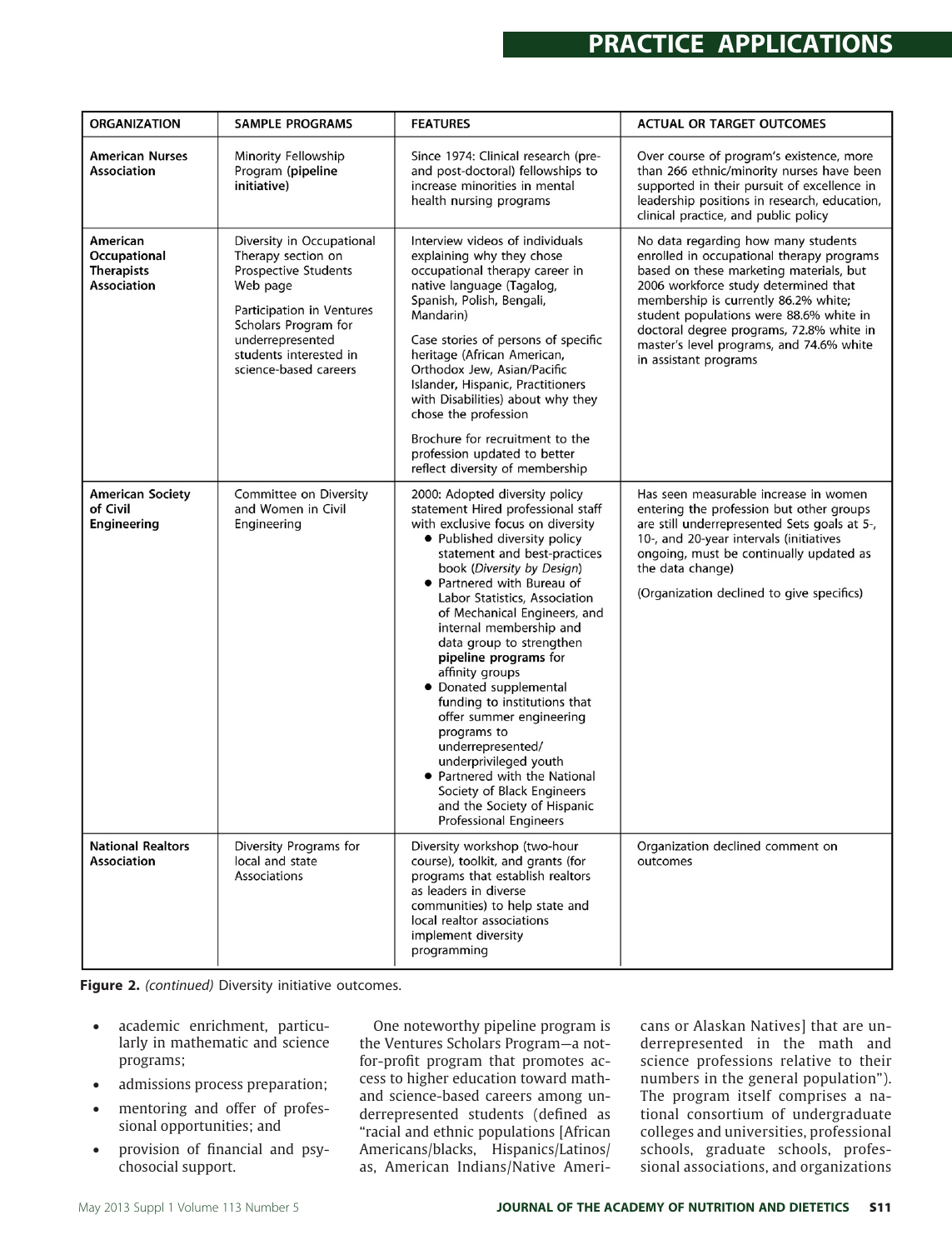## **PRACTICE APPLICATIONS**

| <b>ORGANIZATION</b>                                                 | <b>SAMPLE PROGRAMS</b>                                                                                                                                                                                          | <b>FEATURES</b>                                                                                                                                                                                                                                                                                                                                                                                                                                                                                                                                                                                                                                                                             | <b>ACTUAL OR TARGET OUTCOMES</b>                                                                                                                                                                                                                                                                                                                                        |
|---------------------------------------------------------------------|-----------------------------------------------------------------------------------------------------------------------------------------------------------------------------------------------------------------|---------------------------------------------------------------------------------------------------------------------------------------------------------------------------------------------------------------------------------------------------------------------------------------------------------------------------------------------------------------------------------------------------------------------------------------------------------------------------------------------------------------------------------------------------------------------------------------------------------------------------------------------------------------------------------------------|-------------------------------------------------------------------------------------------------------------------------------------------------------------------------------------------------------------------------------------------------------------------------------------------------------------------------------------------------------------------------|
| <b>American Nurses</b><br><b>Association</b>                        | Minority Fellowship<br>Program (pipeline<br>initiative)                                                                                                                                                         | Since 1974: Clinical research (pre-<br>and post-doctoral) fellowships to<br>increase minorities in mental<br>health nursing programs                                                                                                                                                                                                                                                                                                                                                                                                                                                                                                                                                        | Over course of program's existence, more<br>than 266 ethnic/minority nurses have been<br>supported in their pursuit of excellence in<br>leadership positions in research, education,<br>clinical practice, and public policy                                                                                                                                            |
| American<br>Occupational<br><b>Therapists</b><br><b>Association</b> | Diversity in Occupational<br>Therapy section on<br>Prospective Students<br>Web page<br>Participation in Ventures<br>Scholars Program for<br>underrepresented<br>students interested in<br>science-based careers | Interview videos of individuals<br>explaining why they chose<br>occupational therapy career in<br>native language (Tagalog,<br>Spanish, Polish, Bengali,<br>Mandarin)<br>Case stories of persons of specific<br>heritage (African American,<br>Orthodox Jew, Asian/Pacific<br>Islander, Hispanic, Practitioners<br>with Disabilities) about why they<br>chose the profession<br>Brochure for recruitment to the<br>profession updated to better<br>reflect diversity of membership                                                                                                                                                                                                          | No data regarding how many students<br>enrolled in occupational therapy programs<br>based on these marketing materials, but<br>2006 workforce study determined that<br>membership is currently 86.2% white;<br>student populations were 88.6% white in<br>doctoral degree programs, 72.8% white in<br>master's level programs, and 74.6% white<br>in assistant programs |
| <b>American Society</b><br>of Civil<br>Engineering                  | Committee on Diversity<br>and Women in Civil<br>Engineering                                                                                                                                                     | 2000: Adopted diversity policy<br>statement Hired professional staff<br>with exclusive focus on diversity<br>• Published diversity policy<br>statement and best-practices<br>book (Diversity by Design)<br>• Partnered with Bureau of<br>Labor Statistics, Association<br>of Mechanical Engineers, and<br>internal membership and<br>data group to strengthen<br>pipeline programs for<br>affinity groups<br>• Donated supplemental<br>funding to institutions that<br>offer summer engineering<br>programs to<br>underrepresented/<br>underprivileged youth<br>• Partnered with the National<br>Society of Black Engineers<br>and the Society of Hispanic<br><b>Professional Engineers</b> | Has seen measurable increase in women<br>entering the profession but other groups<br>are still underrepresented Sets goals at 5-,<br>10-, and 20-year intervals (initiatives<br>ongoing, must be continually updated as<br>the data change)<br>(Organization declined to give specifics)                                                                                |
| <b>National Realtors</b><br><b>Association</b>                      | Diversity Programs for<br>local and state<br>Associations                                                                                                                                                       | Diversity workshop (two-hour<br>course), toolkit, and grants (for<br>programs that establish realtors<br>as leaders in diverse<br>communities) to help state and<br>local realtor associations<br>implement diversity<br>programming                                                                                                                                                                                                                                                                                                                                                                                                                                                        | Organization declined comment on<br>outcomes                                                                                                                                                                                                                                                                                                                            |

Figure 2. (continued) Diversity initiative outcomes.

- academic enrichment, particularly in mathematic and science programs;
- admissions process preparation;
- mentoring and offer of professional opportunities; and
- provision of financial and psychosocial support.

One noteworthy pipeline program is the Ventures Scholars Program—a notfor-profit program that promotes access to higher education toward mathand science-based careers among underrepresented students (defined as "racial and ethnic populations [African Americans/blacks, Hispanics/Latinos/ as, American Indians/Native Americans or Alaskan Natives] that are underrepresented in the math and science professions relative to their numbers in the general population"). The program itself comprises a national consortium of undergraduate colleges and universities, professional schools, graduate schools, professional associations, and organizations